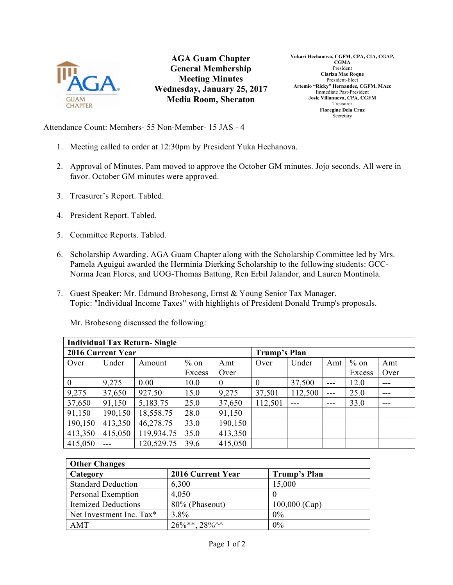

**AGA Guam Chapter General Membership Meeting Minutes Wednesday, January 25, 2017 Media Room, Sheraton**

**Yukari Hechanova, CGFM, CPA, CIA, CGAP, CGMA** President **Clariza Mae Roque** President-Elect **Artemio "Ricky" Hernandez, CGFM, MAcc** Immediate Past-President **Josie Villanueva, CPA, CGFM** Treasurer **Floregine Dela Cruz** Secretary

Attendance Count: Members- 55 Non-Member- 15 JAS - 4

- 1. Meeting called to order at 12:30pm by President Yuka Hechanova.
- 2. Approval of Minutes. Pam moved to approve the October GM minutes. Jojo seconds. All were in favor. October GM minutes were approved.
- 3. Treasurer's Report. Tabled.
- 4. President Report. Tabled.
- 5. Committee Reports. Tabled.
- 6. Scholarship Awarding. AGA Guam Chapter along with the Scholarship Committee led by Mrs. Pamela Aguigui awarded the Herminia Dierking Scholarship to the following students: GCC-Norma Jean Flores, and UOG-Thomas Battung, Ren Erbil Jalandor, and Lauren Montinola.
- 7. Guest Speaker: Mr. Edmund Brobesong, Ernst & Young Senior Tax Manager. Topic: "Individual Income Taxes" with highlights of President Donald Trump's proposals.

Mr. Brobesong discussed the following:

| <b>Individual Tax Return-Single</b> |         |            |        |              |              |         |       |        |       |
|-------------------------------------|---------|------------|--------|--------------|--------------|---------|-------|--------|-------|
| <b>2016 Current Year</b>            |         |            |        |              | Trump's Plan |         |       |        |       |
| Over                                | Under   | Amount     | $%$ on | Amt          | Over         | Under   | Amt   | $%$ on | Amt   |
|                                     |         |            | Excess | Over         |              |         |       | Excess | Over  |
| $\boldsymbol{0}$                    | 9,275   | 0.00       | 10.0   | $\mathbf{0}$ | 0            | 37,500  | $---$ | 12.0   | $---$ |
| 9,275                               | 37,650  | 927.50     | 15.0   | 9,275        | 37,501       | 112,500 | $---$ | 25.0   | ---   |
| 37,650                              | 91,150  | 5,183.75   | 25.0   | 37,650       | 112,501      |         |       | 33.0   |       |
| 91,150                              | 190,150 | 18,558.75  | 28.0   | 91,150       |              |         |       |        |       |
| 190,150                             | 413,350 | 46,278.75  | 33.0   | 190,150      |              |         |       |        |       |
| 413,350                             | 415,050 | 119,934.75 | 35.0   | 413,350      |              |         |       |        |       |
| 415,050                             |         | 120,529.75 | 39.6   | 415,050      |              |         |       |        |       |

| <b>Other Changes</b>       |                      |                 |  |  |  |  |  |
|----------------------------|----------------------|-----------------|--|--|--|--|--|
| Category                   | 2016 Current Year    | Trump's Plan    |  |  |  |  |  |
| <b>Standard Deduction</b>  | 6,300                | 15,000          |  |  |  |  |  |
| Personal Exemption         | 4,050                |                 |  |  |  |  |  |
| <b>Itemized Deductions</b> | 80% (Phaseout)       | $100,000$ (Cap) |  |  |  |  |  |
| Net Investment Inc. Tax*   | $3.8\%$              | $0\%$           |  |  |  |  |  |
| AMT                        | $26\%**$ , $28\%$ ^^ | 0%              |  |  |  |  |  |